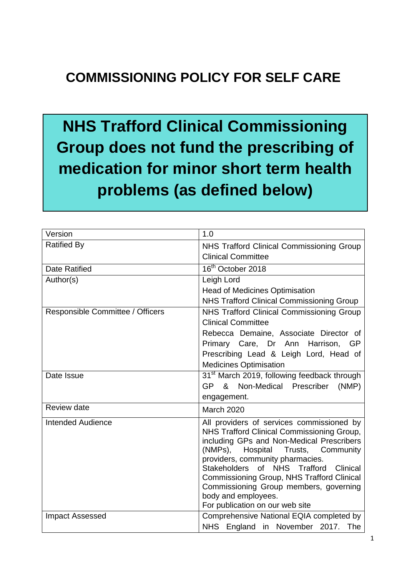# **COMMISSIONING POLICY FOR SELF CARE**

**NHS Trafford Clinical Commissioning Group does not fund the prescribing of medication for minor short term health problems (as defined below)**

| Version                          | 1.0                                                                                                                                                                                                                                                                                                                                                                                                             |
|----------------------------------|-----------------------------------------------------------------------------------------------------------------------------------------------------------------------------------------------------------------------------------------------------------------------------------------------------------------------------------------------------------------------------------------------------------------|
| <b>Ratified By</b>               | <b>NHS Trafford Clinical Commissioning Group</b><br><b>Clinical Committee</b>                                                                                                                                                                                                                                                                                                                                   |
| Date Ratified                    | 16 <sup>th</sup> October 2018                                                                                                                                                                                                                                                                                                                                                                                   |
| Author(s)                        | Leigh Lord                                                                                                                                                                                                                                                                                                                                                                                                      |
|                                  | <b>Head of Medicines Optimisation</b><br><b>NHS Trafford Clinical Commissioning Group</b>                                                                                                                                                                                                                                                                                                                       |
| Responsible Committee / Officers | NHS Trafford Clinical Commissioning Group<br><b>Clinical Committee</b><br>Rebecca Demaine, Associate Director of<br>Primary Care, Dr Ann Harrison, GP<br>Prescribing Lead & Leigh Lord, Head of<br><b>Medicines Optimisation</b>                                                                                                                                                                                |
| Date Issue                       | 31 <sup>st</sup> March 2019, following feedback through<br>GP & Non-Medical Prescriber<br>(NMP)<br>engagement.                                                                                                                                                                                                                                                                                                  |
| Review date                      | <b>March 2020</b>                                                                                                                                                                                                                                                                                                                                                                                               |
| <b>Intended Audience</b>         | All providers of services commissioned by<br>NHS Trafford Clinical Commissioning Group,<br>including GPs and Non-Medical Prescribers<br>(NMPs), Hospital<br>Trusts, Community<br>providers, community pharmacies.<br>Stakeholders of NHS Trafford<br>Clinical<br>Commissioning Group, NHS Trafford Clinical<br>Commissioning Group members, governing<br>body and employees.<br>For publication on our web site |
| <b>Impact Assessed</b>           | Comprehensive National EQIA completed by<br>NHS England in November 2017. The                                                                                                                                                                                                                                                                                                                                   |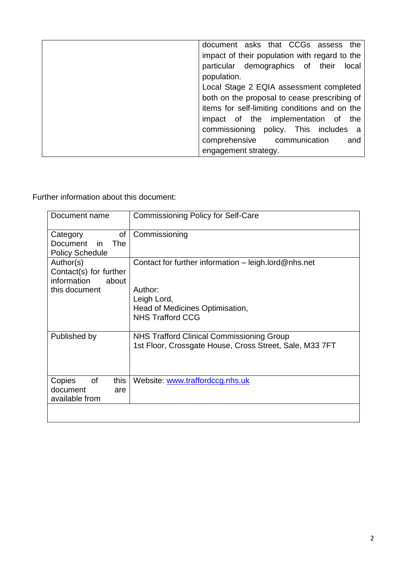| document asks that CCGs assess the            |       |
|-----------------------------------------------|-------|
| impact of their population with regard to the |       |
| particular demographics of their              | local |
| population.                                   |       |
| Local Stage 2 EQIA assessment completed       |       |
| both on the proposal to cease prescribing of  |       |
| items for self-limiting conditions and on the |       |
| impact of the implementation of               | the   |
| commissioning policy. This includes a         |       |
| comprehensive communication                   | and   |
| engagement strategy.                          |       |

Further information about this document:

| Document name                                                                | <b>Commissioning Policy for Self-Care</b>                                                                                                    |
|------------------------------------------------------------------------------|----------------------------------------------------------------------------------------------------------------------------------------------|
| οf<br>Category<br>Document<br>-in<br><b>The</b><br><b>Policy Schedule</b>    | Commissioning                                                                                                                                |
| Author(s)<br>Contact(s) for further<br>information<br>about<br>this document | Contact for further information - leigh.lord@nhs.net<br>Author:<br>Leigh Lord,<br>Head of Medicines Optimisation,<br><b>NHS Trafford CCG</b> |
| Published by                                                                 | <b>NHS Trafford Clinical Commissioning Group</b><br>1st Floor, Crossgate House, Cross Street, Sale, M33 7FT                                  |
| Copies<br>of<br>this<br>document<br>are<br>available from                    | Website: www.traffordccg.nhs.uk                                                                                                              |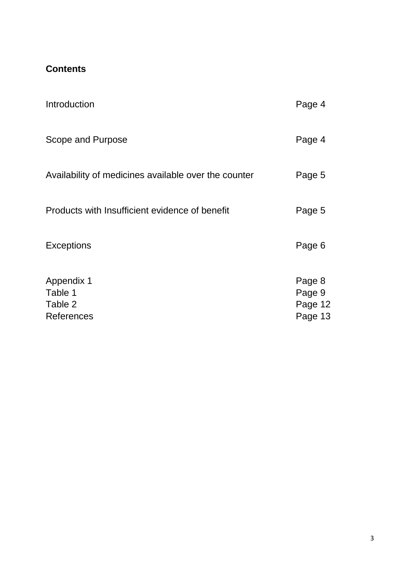# **Contents**

| Introduction                                                 | Page 4                                 |
|--------------------------------------------------------------|----------------------------------------|
| Scope and Purpose                                            | Page 4                                 |
| Availability of medicines available over the counter         | Page 5                                 |
| Products with Insufficient evidence of benefit               | Page 5                                 |
| <b>Exceptions</b>                                            | Page 6                                 |
| <b>Appendix 1</b><br>Table 1<br>Table 2<br><b>References</b> | Page 8<br>Page 9<br>Page 12<br>Page 13 |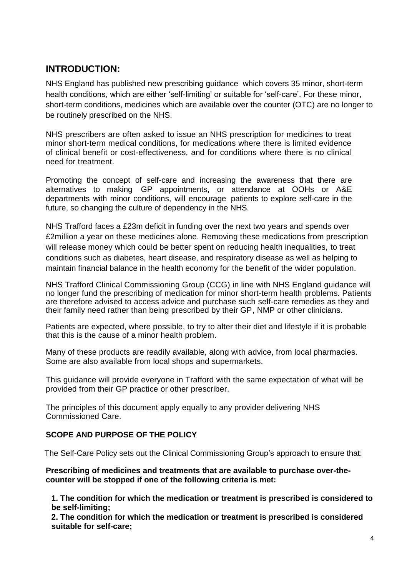# **INTRODUCTION:**

NHS England has published [new prescribing guidance](https://www.england.nhs.uk/medicines/conditions-for-which-over-the-counter-items-should-not-routinely-be-prescribed/) which covers 35 minor, short-term health conditions, which are either 'self-limiting' or suitable for 'self-care'. For these minor, short-term conditions, medicines which are available over the counter (OTC) are no longer to be routinely prescribed on the NHS.

NHS prescribers are often asked to issue an NHS prescription for medicines to treat minor short-term medical conditions, for medications where there is limited evidence of clinical benefit or cost-effectiveness, and for conditions where there is no clinical need for treatment.

Promoting the concept of self-care and increasing the awareness that there are alternatives to making GP appointments, or attendance at OOHs or A&E departments with minor conditions, will encourage patients to explore self-care in the future, so changing the culture of dependency in the NHS.

NHS Trafford faces a £23m deficit in funding over the next two years and spends over £2million a year on these medicines alone. Removing these medications from prescription will release money which could be better spent on reducing health inequalities, to treat conditions such as diabetes, heart disease, and respiratory disease as well as helping to maintain financial balance in the health economy for the benefit of the wider population.

NHS Trafford Clinical Commissioning Group (CCG) in line with NHS England guidance will no longer fund the prescribing of medication for minor short-term health problems. Patients are therefore advised to access advice and purchase such self-care remedies as they and their family need rather than being prescribed by their GP, NMP or other clinicians.

Patients are expected, where possible, to try to alter their diet and lifestyle if it is probable that this is the cause of a minor health problem.

Many of these products are readily available, along with advice, from local pharmacies. Some are also available from local shops and supermarkets.

This guidance will provide everyone in Trafford with the same expectation of what will be provided from their GP practice or other prescriber.

The principles of this document apply equally to any provider delivering NHS Commissioned Care.

## **SCOPE AND PURPOSE OF THE POLICY**

The Self-Care Policy sets out the Clinical Commissioning Group's approach to ensure that:

**Prescribing of medicines and treatments that are available to purchase over-thecounter will be stopped if one of the following criteria is met:** 

**1. The condition for which the medication or treatment is prescribed is considered to be self-limiting;**

**2. The condition for which the medication or treatment is prescribed is considered suitable for self-care;**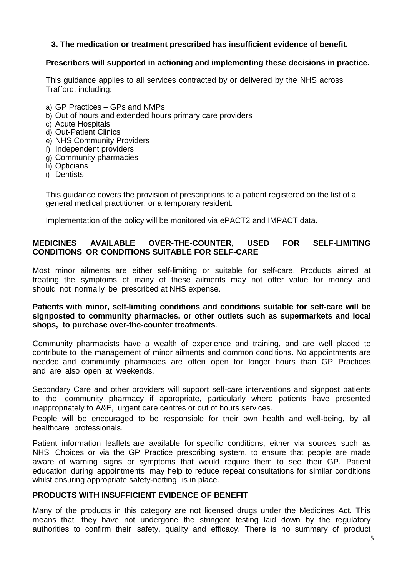### **3. The medication or treatment prescribed has insufficient evidence of benefit.**

#### **Prescribers will supported in actioning and implementing these decisions in practice.**

This guidance applies to all services contracted by or delivered by the NHS across Trafford, including:

- a) GP Practices GPs and NMPs
- b) Out of hours and extended hours primary care providers
- c) Acute Hospitals
- d) Out-Patient Clinics
- e) NHS Community Providers
- f) Independent providers
- g) Community pharmacies
- h) Opticians
- i) Dentists

This guidance covers the provision of prescriptions to a patient registered on the list of a general medical practitioner, or a temporary resident.

Implementation of the policy will be monitored via ePACT2 and IMPACT data.

#### **MEDICINES AVAILABLE OVER-THE-COUNTER, USED FOR SELF-LIMITING CONDITIONS OR CONDITIONS SUITABLE FOR SELF-CARE**

Most minor ailments are either self-limiting or suitable for self-care. Products aimed at treating the symptoms of many of these ailments may not offer value for money and should not normally be prescribed at NHS expense.

#### **Patients with minor, self-limiting conditions and conditions suitable for self-care will be signposted to community pharmacies, or other outlets such as supermarkets and local shops, to purchase over-the-counter treatments**.

Community pharmacists have a wealth of experience and training, and are well placed to contribute to the management of minor ailments and common conditions. No appointments are needed and community pharmacies are often open for longer hours than GP Practices and are also open at weekends.

Secondary Care and other providers will support self-care interventions and signpost patients to the community pharmacy if appropriate, particularly where patients have presented inappropriately to A&E, urgent care centres or out of hours services.

People will be encouraged to be responsible for their own health and well-being, by all healthcare professionals.

Patient information leaflets are available for specific conditions, either via sources such as NHS Choices or via the GP Practice prescribing system, to ensure that people are made aware of warning signs or symptoms that would require them to see their GP. Patient education during appointments may help to reduce repeat consultations for similar conditions whilst ensuring appropriate safety-netting is in place.

#### **PRODUCTS WITH INSUFFICIENT EVIDENCE OF BENEFIT**

Many of the products in this category are not licensed drugs under the Medicines Act. This means that they have not undergone the stringent testing laid down by the regulatory authorities to confirm their safety, quality and efficacy. There is no summary of product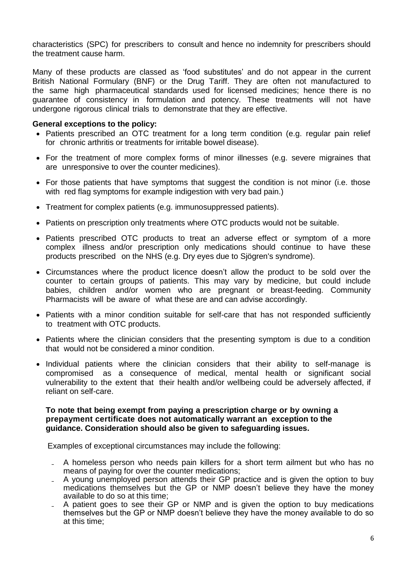characteristics (SPC) for prescribers to consult and hence no indemnity for prescribers should the treatment cause harm.

Many of these products are classed as 'food substitutes' and do not appear in the current British National Formulary (BNF) or the Drug Tariff. They are often not manufactured to the same high pharmaceutical standards used for licensed medicines; hence there is no guarantee of consistency in formulation and potency. These treatments will not have undergone rigorous clinical trials to demonstrate that they are effective.

#### **General exceptions to the policy:**

- Patients prescribed an OTC treatment for a long term condition (e.g. regular pain relief for chronic arthritis or treatments for irritable bowel disease).
- For the treatment of more complex forms of minor illnesses (e.g. severe migraines that are unresponsive to over the counter medicines).
- For those patients that have symptoms that suggest the condition is not minor (i.e. those with red flag symptoms for example indigestion with very bad pain.)
- Treatment for complex patients (e.g. immunosuppressed patients).
- Patients on prescription only treatments where OTC products would not be suitable.
- Patients prescribed OTC products to treat an adverse effect or symptom of a more complex illness and/or prescription only medications should continue to have these products prescribed on the NHS (e.g. Dry eyes due to Sjögren's syndrome).
- Circumstances where the product licence doesn't allow the product to be sold over the counter to certain groups of patients. This may vary by medicine, but could include babies, children and/or women who are pregnant or breast-feeding. Community Pharmacists will be aware of what these are and can advise accordingly.
- Patients with a minor condition suitable for self-care that has not responded sufficiently to treatment with OTC products.
- Patients where the clinician considers that the presenting symptom is due to a condition that would not be considered a minor condition.
- Individual patients where the clinician considers that their ability to self-manage is compromised as a consequence of medical, mental health or significant social vulnerability to the extent that their health and/or wellbeing could be adversely affected, if reliant on self-care.

#### **To note that being exempt from paying a prescription charge or by owning a prepayment certificate does not automatically warrant an exception to the guidance. Consideration should also be given to safeguarding issues.**

Examples of exceptional circumstances may include the following:

- ₋ A homeless person who needs pain killers for a short term ailment but who has no means of paying for over the counter medications;
- ₋ A young unemployed person attends their GP practice and is given the option to buy medications themselves but the GP or NMP doesn't believe they have the money available to do so at this time;
- A patient goes to see their GP or NMP and is given the option to buy medications themselves but the GP or NMP doesn't believe they have the money available to do so at this time;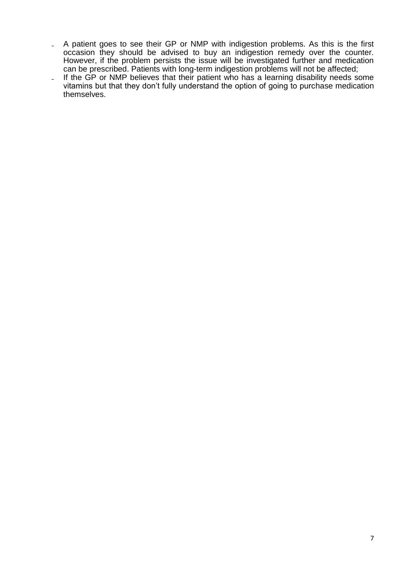- A patient goes to see their GP or NMP with indigestion problems. As this is the first occasion they should be advised to buy an indigestion remedy over the counter. However, if the problem persists the issue will be investigated further and medication can be prescribed. Patients with long-term indigestion problems will not be affected;
- If the GP or NMP believes that their patient who has a learning disability needs some vitamins but that they don't fully understand the option of going to purchase medication themselves.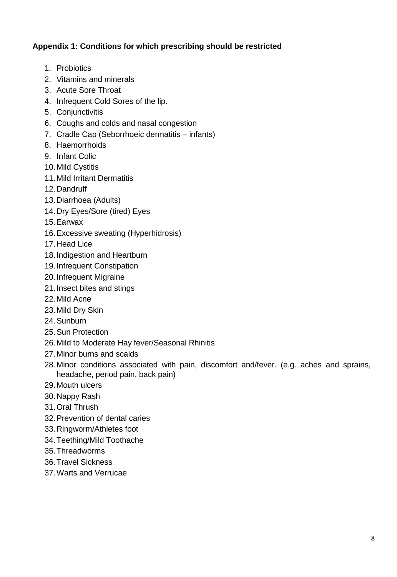## **Appendix 1: Conditions for which prescribing should be restricted**

- 1. Probiotics
- 2. Vitamins and minerals
- 3. Acute Sore Throat
- 4. Infrequent Cold Sores of the lip.
- 5. Conjunctivitis
- 6. Coughs and colds and nasal congestion
- 7. Cradle Cap (Seborrhoeic dermatitis infants)
- 8. Haemorrhoids
- 9. Infant Colic
- 10.Mild Cystitis
- 11.Mild Irritant Dermatitis
- 12.Dandruff
- 13.Diarrhoea (Adults)
- 14.Dry Eyes/Sore (tired) Eyes
- 15.Earwax
- 16.Excessive sweating (Hyperhidrosis)
- 17.Head Lice
- 18.Indigestion and Heartburn
- 19.Infrequent Constipation
- 20.Infrequent Migraine
- 21.Insect bites and stings
- 22.Mild Acne
- 23.Mild Dry Skin
- 24.Sunburn
- 25.Sun Protection
- 26.Mild to Moderate Hay fever/Seasonal Rhinitis
- 27.Minor burns and scalds
- 28.Minor conditions associated with pain, discomfort and/fever. (e.g. aches and sprains, headache, period pain, back pain)
- 29.Mouth ulcers
- 30.Nappy Rash
- 31.Oral Thrush
- 32.Prevention of dental caries
- 33.Ringworm/Athletes foot
- 34.Teething/Mild Toothache
- 35.Threadworms
- 36.Travel Sickness
- 37.Warts and Verrucae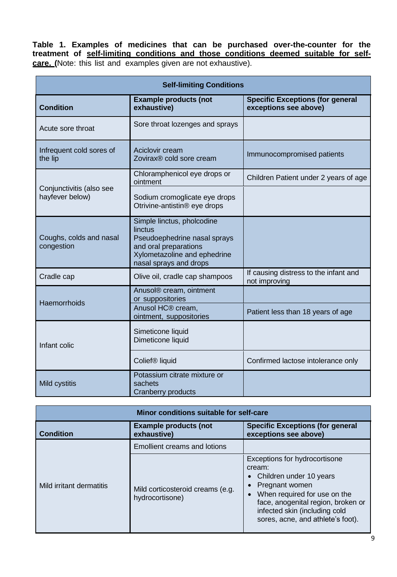**Table 1. Examples of medicines that can be purchased over-the-counter for the treatment of self-limiting conditions and those conditions deemed suitable for selfcare. (**Note: this list and examples given are not exhaustive).

| <b>Self-limiting Conditions</b>             |                                                                                                                                                          |                                                                  |
|---------------------------------------------|----------------------------------------------------------------------------------------------------------------------------------------------------------|------------------------------------------------------------------|
| <b>Condition</b>                            | <b>Example products (not</b><br>exhaustive)                                                                                                              | <b>Specific Exceptions (for general</b><br>exceptions see above) |
| Acute sore throat                           | Sore throat lozenges and sprays                                                                                                                          |                                                                  |
| Infrequent cold sores of<br>the lip         | Aciclovir cream<br>Zovirax <sup>®</sup> cold sore cream                                                                                                  | Immunocompromised patients                                       |
|                                             | Chloramphenicol eye drops or<br>ointment                                                                                                                 | Children Patient under 2 years of age                            |
| Conjunctivitis (also see<br>hayfever below) | Sodium cromoglicate eye drops<br>Otrivine-antistin® eye drops                                                                                            |                                                                  |
| Coughs, colds and nasal<br>congestion       | Simple linctus, pholcodine<br>linctus<br>Pseudoephedrine nasal sprays<br>and oral preparations<br>Xylometazoline and ephedrine<br>nasal sprays and drops |                                                                  |
| Cradle cap                                  | Olive oil, cradle cap shampoos                                                                                                                           | If causing distress to the infant and<br>not improving           |
| Haemorrhoids                                | Anusol® cream, ointment<br>or suppositories                                                                                                              |                                                                  |
|                                             | Anusol HC® cream,<br>ointment, suppositories                                                                                                             | Patient less than 18 years of age                                |
| Infant colic                                | Simeticone liquid<br>Dimeticone liquid                                                                                                                   |                                                                  |
|                                             | Colief <sup>®</sup> liquid                                                                                                                               | Confirmed lactose intolerance only                               |
| Mild cystitis                               | Potassium citrate mixture or<br>sachets<br><b>Cranberry products</b>                                                                                     |                                                                  |

| Minor conditions suitable for self-care |                                                     |                                                                                                                                                                                                                                    |
|-----------------------------------------|-----------------------------------------------------|------------------------------------------------------------------------------------------------------------------------------------------------------------------------------------------------------------------------------------|
| <b>Condition</b>                        | <b>Example products (not</b><br>exhaustive)         | <b>Specific Exceptions (for general</b><br>exceptions see above)                                                                                                                                                                   |
|                                         | <b>Emollient creams and lotions</b>                 |                                                                                                                                                                                                                                    |
| Mild irritant dermatitis                | Mild corticosteroid creams (e.g.<br>hydrocortisone) | Exceptions for hydrocortisone<br>cream:<br>• Children under 10 years<br>Pregnant women<br>When required for use on the<br>face, anogenital region, broken or<br>infected skin (including cold<br>sores, acne, and athlete's foot). |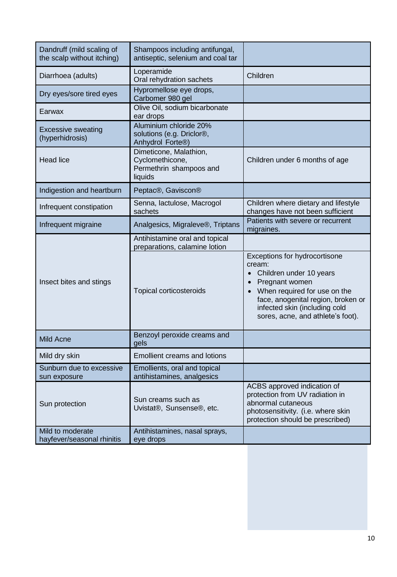| Dandruff (mild scaling of<br>the scalp without itching) | Shampoos including antifungal,<br>antiseptic, selenium and coal tar                  |                                                                                                                                                                                                                                  |
|---------------------------------------------------------|--------------------------------------------------------------------------------------|----------------------------------------------------------------------------------------------------------------------------------------------------------------------------------------------------------------------------------|
| Diarrhoea (adults)                                      | Loperamide<br>Oral rehydration sachets                                               | Children                                                                                                                                                                                                                         |
| Dry eyes/sore tired eyes                                | Hypromellose eye drops,<br>Carbomer 980 gel                                          |                                                                                                                                                                                                                                  |
| Earwax                                                  | Olive Oil, sodium bicarbonate<br>ear drops                                           |                                                                                                                                                                                                                                  |
| <b>Excessive sweating</b><br>(hyperhidrosis)            | Aluminium chloride 20%<br>solutions (e.g. Driclor®,<br>Anhydrol Forte <sup>®</sup> ) |                                                                                                                                                                                                                                  |
| <b>Head lice</b>                                        | Dimeticone, Malathion,<br>Cyclomethicone,<br>Permethrin shampoos and<br>liquids      | Children under 6 months of age                                                                                                                                                                                                   |
| Indigestion and heartburn                               | Peptac®, Gaviscon®                                                                   |                                                                                                                                                                                                                                  |
| Infrequent constipation                                 | Senna, lactulose, Macrogol<br>sachets                                                | Children where dietary and lifestyle<br>changes have not been sufficient                                                                                                                                                         |
| Infrequent migraine                                     | Analgesics, Migraleve®, Triptans                                                     | Patients with severe or recurrent<br>migraines.                                                                                                                                                                                  |
|                                                         | Antihistamine oral and topical<br>preparations, calamine lotion                      |                                                                                                                                                                                                                                  |
| Insect bites and stings                                 | <b>Topical corticosteroids</b>                                                       | Exceptions for hydrocortisone<br>cream:<br>Children under 10 years<br>Pregnant women<br>When required for use on the<br>face, anogenital region, broken or<br>infected skin (including cold<br>sores, acne, and athlete's foot). |
| <b>Mild Acne</b>                                        | Benzoyl peroxide creams and<br>gels                                                  |                                                                                                                                                                                                                                  |
| Mild dry skin                                           | <b>Emollient creams and lotions</b>                                                  |                                                                                                                                                                                                                                  |
| Sunburn due to excessive<br>sun exposure                | Emollients, oral and topical<br>antihistamines, analgesics                           |                                                                                                                                                                                                                                  |
| Sun protection                                          | Sun creams such as<br>Uvistat®, Sunsense®, etc.                                      | ACBS approved indication of<br>protection from UV radiation in<br>abnormal cutaneous<br>photosensitivity. (i.e. where skin<br>protection should be prescribed)                                                                   |
| Mild to moderate<br>hayfever/seasonal rhinitis          | Antihistamines, nasal sprays,<br>eye drops                                           |                                                                                                                                                                                                                                  |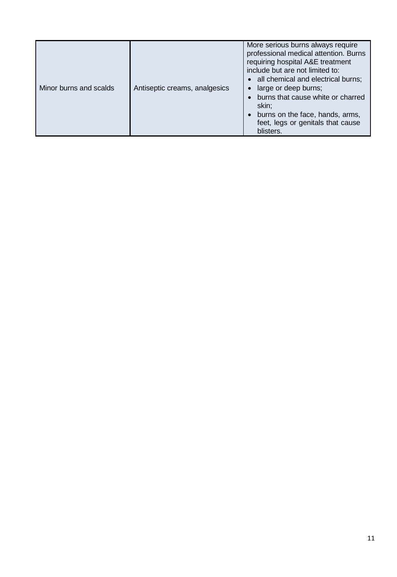| More serious burns always require<br>professional medical attention. Burns<br>requiring hospital A&E treatment<br>include but are not limited to:<br>• all chemical and electrical burns;<br>Minor burns and scalds<br>Antiseptic creams, analgesics<br>large or deep burns;<br>• burns that cause white or charred<br>skin;<br>• burns on the face, hands, arms,<br>feet, legs or genitals that cause |  |
|--------------------------------------------------------------------------------------------------------------------------------------------------------------------------------------------------------------------------------------------------------------------------------------------------------------------------------------------------------------------------------------------------------|--|
|--------------------------------------------------------------------------------------------------------------------------------------------------------------------------------------------------------------------------------------------------------------------------------------------------------------------------------------------------------------------------------------------------------|--|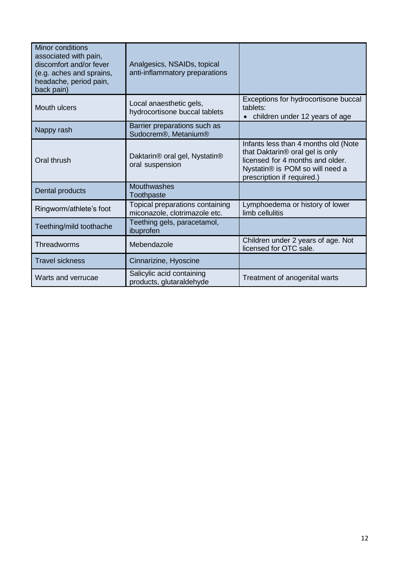| <b>Minor conditions</b><br>associated with pain,<br>discomfort and/or fever<br>(e.g. aches and sprains,<br>headache, period pain,<br>back pain) | Analgesics, NSAIDs, topical<br>anti-inflammatory preparations                 |                                                                                                                                                                              |
|-------------------------------------------------------------------------------------------------------------------------------------------------|-------------------------------------------------------------------------------|------------------------------------------------------------------------------------------------------------------------------------------------------------------------------|
| <b>Mouth ulcers</b>                                                                                                                             | Local anaesthetic gels,<br>hydrocortisone buccal tablets                      | Exceptions for hydrocortisone buccal<br>tablets:<br>children under 12 years of age                                                                                           |
| Nappy rash                                                                                                                                      | Barrier preparations such as<br>Sudocrem <sup>®</sup> , Metanium <sup>®</sup> |                                                                                                                                                                              |
| Oral thrush                                                                                                                                     | Daktarin <sup>®</sup> oral gel, Nystatin <sup>®</sup><br>oral suspension      | Infants less than 4 months old (Note<br>that Daktarin® oral gel is only<br>licensed for 4 months and older.<br>Nystatin® is POM so will need a<br>prescription if required.) |
| Dental products                                                                                                                                 | Mouthwashes<br>Toothpaste                                                     |                                                                                                                                                                              |
| Ringworm/athlete's foot                                                                                                                         | Topical preparations containing<br>miconazole, clotrimazole etc.              | Lymphoedema or history of lower<br>limb cellulitis                                                                                                                           |
| Teething/mild toothache                                                                                                                         | Teething gels, paracetamol,<br>ibuprofen                                      |                                                                                                                                                                              |
| Threadworms                                                                                                                                     | Mebendazole                                                                   | Children under 2 years of age. Not<br>licensed for OTC sale.                                                                                                                 |
| <b>Travel sickness</b>                                                                                                                          | Cinnarizine, Hyoscine                                                         |                                                                                                                                                                              |
| Warts and verrucae                                                                                                                              | Salicylic acid containing<br>products, glutaraldehyde                         | Treatment of anogenital warts                                                                                                                                                |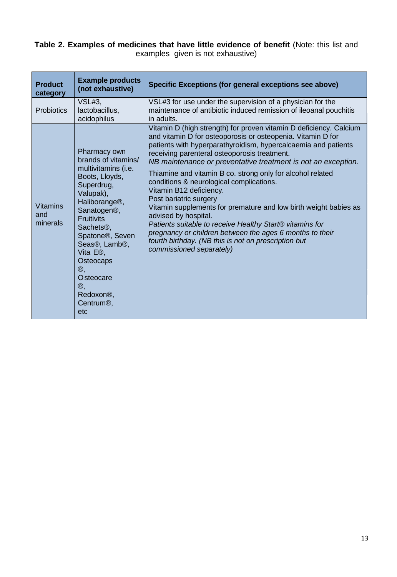#### **Table 2. Examples of medicines that have little evidence of benefit** (Note: this list and examples given is not exhaustive)

| <b>Product</b><br>category         | <b>Example products</b><br>(not exhaustive)                                                                                                                                                                                                                                                                                                                                                                                                            | Specific Exceptions (for general exceptions see above)                                                                                                                                                                                                                                                                                                                                                                                                                                                                                                                                                                                                                                                                                                                                      |
|------------------------------------|--------------------------------------------------------------------------------------------------------------------------------------------------------------------------------------------------------------------------------------------------------------------------------------------------------------------------------------------------------------------------------------------------------------------------------------------------------|---------------------------------------------------------------------------------------------------------------------------------------------------------------------------------------------------------------------------------------------------------------------------------------------------------------------------------------------------------------------------------------------------------------------------------------------------------------------------------------------------------------------------------------------------------------------------------------------------------------------------------------------------------------------------------------------------------------------------------------------------------------------------------------------|
| <b>Probiotics</b>                  | VSL#3,<br>lactobacillus,<br>acidophilus                                                                                                                                                                                                                                                                                                                                                                                                                | VSL#3 for use under the supervision of a physician for the<br>maintenance of antibiotic induced remission of ileoanal pouchitis<br>in adults.                                                                                                                                                                                                                                                                                                                                                                                                                                                                                                                                                                                                                                               |
| <b>Vitamins</b><br>and<br>minerals | Pharmacy own<br>brands of vitamins/<br>multivitamins (i.e.<br>Boots, Lloyds,<br>Superdrug,<br>Valupak),<br>Haliborange <sup>®</sup> ,<br>Sanatogen <sup>®</sup> ,<br><b>Fruitivits</b><br>Sachets <sup>®</sup> ,<br>Spatone <sup>®</sup> , Seven<br>Seas <sup>®</sup> , Lamb <sup>®</sup> ,<br>Vita E <sup>®</sup> .<br>Osteocaps<br>$^{\circledR,}$<br><b>O</b> steocare<br>$^{\circledR}$<br>Redoxon <sup>®</sup> ,<br>Centrum <sup>®</sup> ,<br>etc | Vitamin D (high strength) for proven vitamin D deficiency. Calcium<br>and vitamin D for osteoporosis or osteopenia. Vitamin D for<br>patients with hyperparathyroidism, hypercalcaemia and patients<br>receiving parenteral osteoporosis treatment.<br>NB maintenance or preventative treatment is not an exception.<br>Thiamine and vitamin B co. strong only for alcohol related<br>conditions & neurological complications.<br>Vitamin B12 deficiency.<br>Post bariatric surgery<br>Vitamin supplements for premature and low birth weight babies as<br>advised by hospital.<br>Patients suitable to receive Healthy Start® vitamins for<br>pregnancy or children between the ages 6 months to their<br>fourth birthday. (NB this is not on prescription but<br>commissioned separately) |